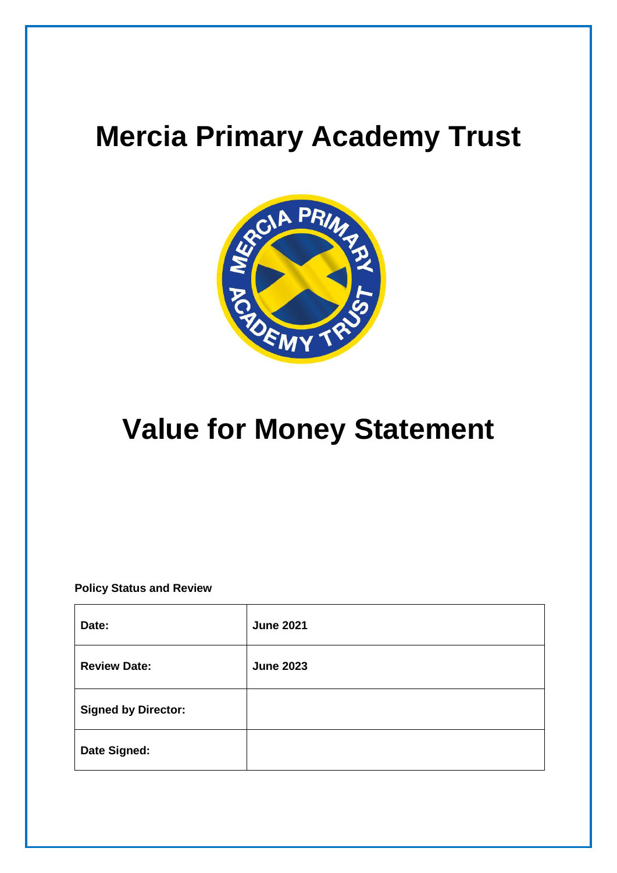# **Mercia Primary Academy Trust**



# **Value for Money Statement**

**Policy Status and Review**

| Date:                      | <b>June 2021</b> |
|----------------------------|------------------|
| <b>Review Date:</b>        | <b>June 2023</b> |
| <b>Signed by Director:</b> |                  |
| Date Signed:               |                  |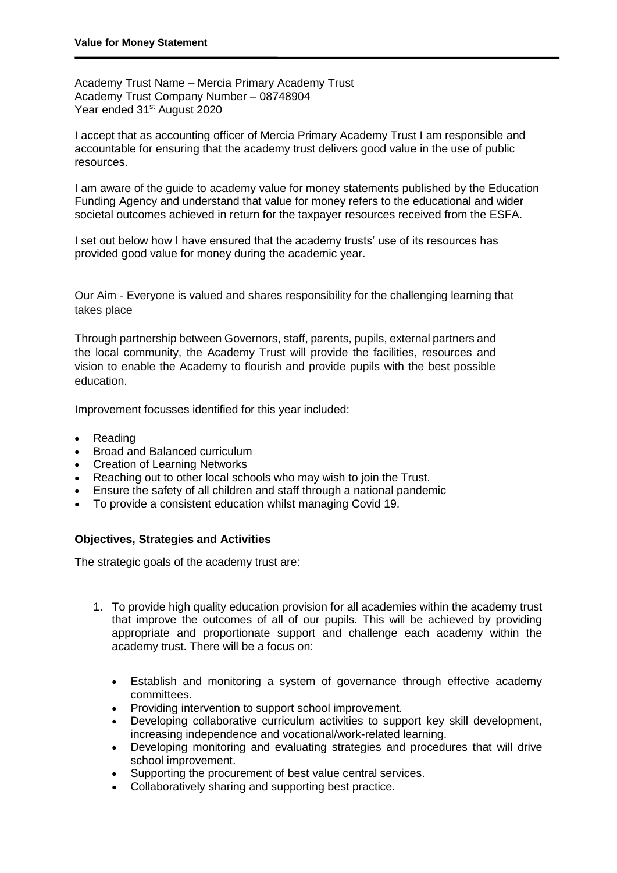Academy Trust Name – Mercia Primary Academy Trust Academy Trust Company Number – 08748904 Year ended 31<sup>st</sup> August 2020

I accept that as accounting officer of Mercia Primary Academy Trust I am responsible and accountable for ensuring that the academy trust delivers good value in the use of public resources.

I am aware of the guide to academy value for money statements published by the Education Funding Agency and understand that value for money refers to the educational and wider societal outcomes achieved in return for the taxpayer resources received from the ESFA.

I set out below how I have ensured that the academy trusts' use of its resources has provided good value for money during the academic year.

Our Aim - Everyone is valued and shares responsibility for the challenging learning that takes place

Through partnership between Governors, staff, parents, pupils, external partners and the local community, the Academy Trust will provide the facilities, resources and vision to enable the Academy to flourish and provide pupils with the best possible education.

Improvement focusses identified for this year included:

- Reading
- Broad and Balanced curriculum
- Creation of Learning Networks
- Reaching out to other local schools who may wish to join the Trust.
- Ensure the safety of all children and staff through a national pandemic
- To provide a consistent education whilst managing Covid 19.

#### **Objectives, Strategies and Activities**

The strategic goals of the academy trust are:

- 1. To provide high quality education provision for all academies within the academy trust that improve the outcomes of all of our pupils. This will be achieved by providing appropriate and proportionate support and challenge each academy within the academy trust. There will be a focus on:
	- Establish and monitoring a system of governance through effective academy committees.
	- Providing intervention to support school improvement.
	- Developing collaborative curriculum activities to support key skill development, increasing independence and vocational/work-related learning.
	- Developing monitoring and evaluating strategies and procedures that will drive school improvement.
	- Supporting the procurement of best value central services.
	- Collaboratively sharing and supporting best practice.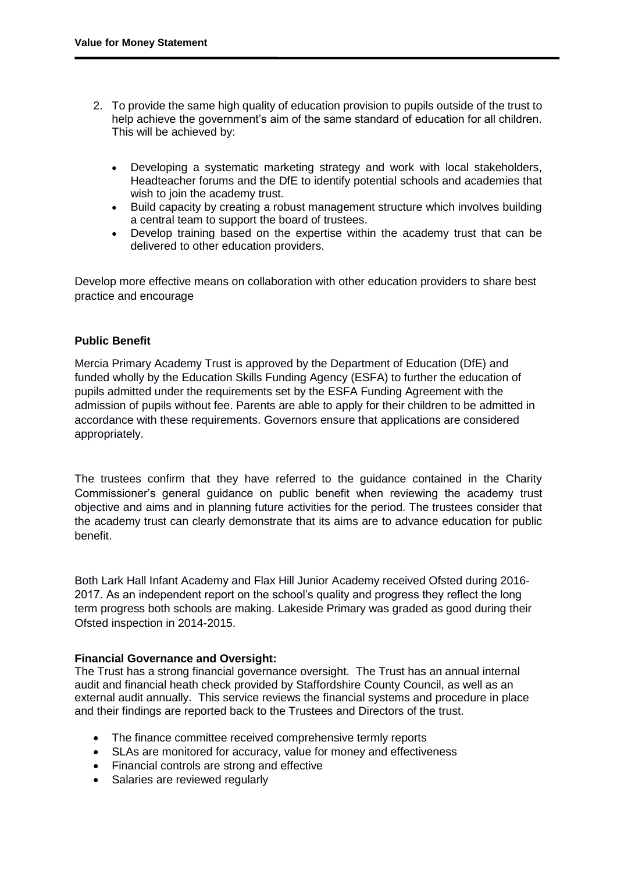- 2. To provide the same high quality of education provision to pupils outside of the trust to help achieve the government's aim of the same standard of education for all children. This will be achieved by:
	- Developing a systematic marketing strategy and work with local stakeholders, Headteacher forums and the DfE to identify potential schools and academies that wish to join the academy trust.
	- Build capacity by creating a robust management structure which involves building a central team to support the board of trustees.
	- Develop training based on the expertise within the academy trust that can be delivered to other education providers.

Develop more effective means on collaboration with other education providers to share best practice and encourage

## **Public Benefit**

Mercia Primary Academy Trust is approved by the Department of Education (DfE) and funded wholly by the Education Skills Funding Agency (ESFA) to further the education of pupils admitted under the requirements set by the ESFA Funding Agreement with the admission of pupils without fee. Parents are able to apply for their children to be admitted in accordance with these requirements. Governors ensure that applications are considered appropriately.

The trustees confirm that they have referred to the guidance contained in the Charity Commissioner's general guidance on public benefit when reviewing the academy trust objective and aims and in planning future activities for the period. The trustees consider that the academy trust can clearly demonstrate that its aims are to advance education for public benefit.

Both Lark Hall Infant Academy and Flax Hill Junior Academy received Ofsted during 2016- 2017. As an independent report on the school's quality and progress they reflect the long term progress both schools are making. Lakeside Primary was graded as good during their Ofsted inspection in 2014-2015.

## **Financial Governance and Oversight:**

The Trust has a strong financial governance oversight. The Trust has an annual internal audit and financial heath check provided by Staffordshire County Council, as well as an external audit annually. This service reviews the financial systems and procedure in place and their findings are reported back to the Trustees and Directors of the trust.

- The finance committee received comprehensive termly reports
- SLAs are monitored for accuracy, value for money and effectiveness
- Financial controls are strong and effective
- Salaries are reviewed regularly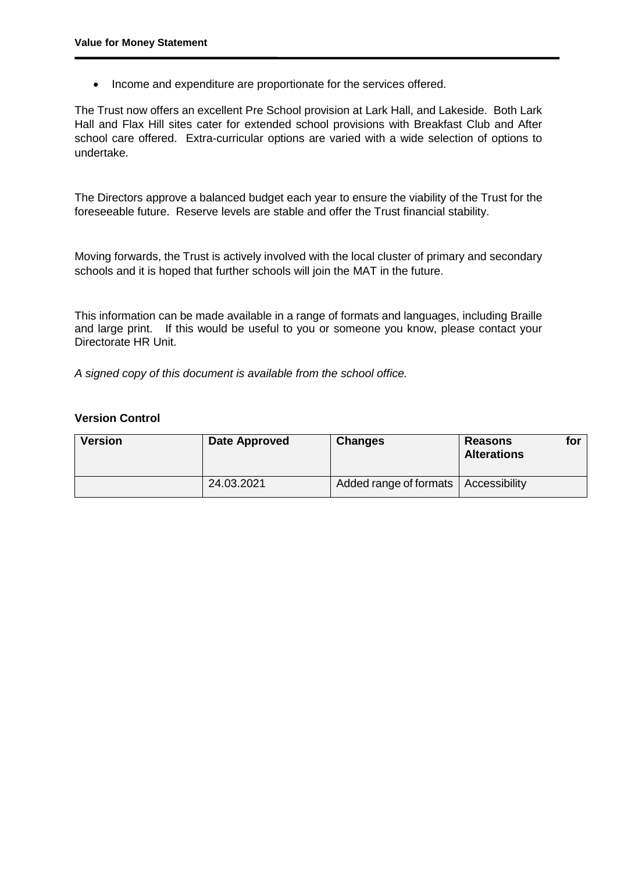• Income and expenditure are proportionate for the services offered.

The Trust now offers an excellent Pre School provision at Lark Hall, and Lakeside. Both Lark Hall and Flax Hill sites cater for extended school provisions with Breakfast Club and After school care offered. Extra-curricular options are varied with a wide selection of options to undertake.

The Directors approve a balanced budget each year to ensure the viability of the Trust for the foreseeable future. Reserve levels are stable and offer the Trust financial stability.

Moving forwards, the Trust is actively involved with the local cluster of primary and secondary schools and it is hoped that further schools will join the MAT in the future.

This information can be made available in a range of formats and languages, including Braille and large print. If this would be useful to you or someone you know, please contact your Directorate HR Unit.

*A signed copy of this document is available from the school office.*

#### **Version Control**

| <b>Version</b> | Date Approved | <b>Changes</b>                         | <b>Reasons</b><br>for<br><b>Alterations</b> |
|----------------|---------------|----------------------------------------|---------------------------------------------|
|                | 24.03.2021    | Added range of formats   Accessibility |                                             |